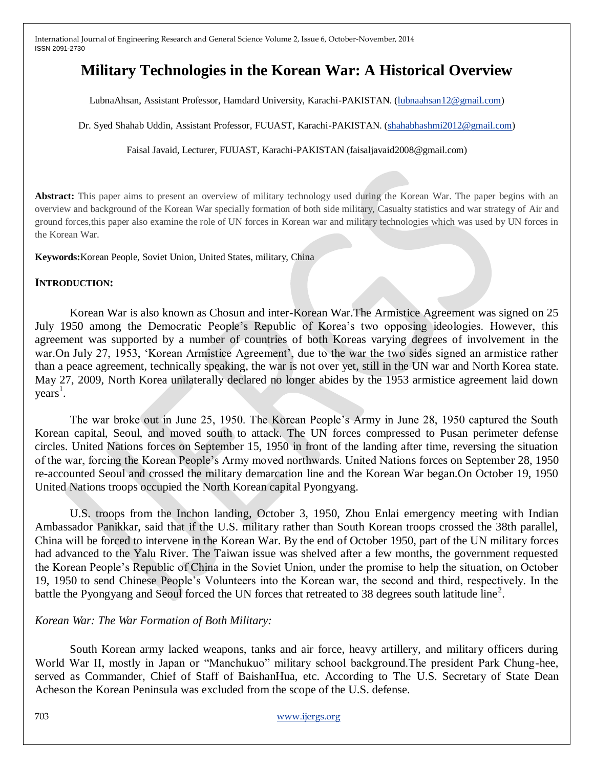# **Military Technologies in the Korean War: A Historical Overview**

LubnaAhsan, Assistant Professor, Hamdard University, Karachi-PAKISTAN. [\(lubnaahsan12@gmail.com\)](mailto:lubnaahsan12@gmail.com)

Dr. Syed Shahab Uddin, Assistant Professor, FUUAST, Karachi-PAKISTAN. [\(shahabhashmi2012@gmail.com\)](mailto:shahabhashmi2012@gmail.com)

Faisal Javaid, Lecturer, FUUAST, Karachi-PAKISTAN (faisaljavaid2008@gmail.com)

Abstract: This paper aims to present an overview of military technology used during the Korean War. The paper begins with an overview and background of the Korean War specially formation of both side military, Casualty statistics and war strategy of Air and ground forces,this paper also examine the role of UN forces in Korean war and military technologies which was used by UN forces in the Korean War.

**Keywords:**Korean People, Soviet Union, United States, military, China

#### **INTRODUCTION:**

Korean War is also known as Chosun and inter-Korean War.The Armistice Agreement was signed on 25 July 1950 among the Democratic People"s Republic of Korea"s two opposing ideologies. However, this agreement was supported by a number of countries of both Koreas varying degrees of involvement in the war.On July 27, 1953, 'Korean Armistice Agreement', due to the war the two sides signed an armistice rather than a peace agreement, technically speaking, the war is not over yet, still in the UN war and North Korea state. May 27, 2009, North Korea unilaterally declared no longer abides by the 1953 armistice agreement laid down years<sup>1</sup>.

The war broke out in June 25, 1950. The Korean People"s Army in June 28, 1950 captured the South Korean capital, Seoul, and moved south to attack. The UN forces compressed to Pusan perimeter defense circles. United Nations forces on September 15, 1950 in front of the landing after time, reversing the situation of the war, forcing the Korean People"s Army moved northwards. United Nations forces on September 28, 1950 re-accounted Seoul and crossed the military demarcation line and the Korean War began.On October 19, 1950 United Nations troops occupied the North Korean capital Pyongyang.

U.S. troops from the Inchon landing, October 3, 1950, Zhou Enlai emergency meeting with Indian Ambassador Panikkar, said that if the U.S. military rather than South Korean troops crossed the 38th parallel, China will be forced to intervene in the Korean War. By the end of October 1950, part of the UN military forces had advanced to the Yalu River. The Taiwan issue was shelved after a few months, the government requested the Korean People"s Republic of China in the Soviet Union, under the promise to help the situation, on October 19, 1950 to send Chinese People"s Volunteers into the Korean war, the second and third, respectively. In the battle the Pyongyang and Seoul forced the UN forces that retreated to 38 degrees south latitude  $\text{line}^2$ .

# *Korean War: The War Formation of Both Military:*

South Korean army lacked weapons, tanks and air force, heavy artillery, and military officers during World War II, mostly in Japan or "Manchukuo" military school background.The president Park Chung-hee, served as Commander, Chief of Staff of BaishanHua, etc. According to The U.S. Secretary of State Dean Acheson the Korean Peninsula was excluded from the scope of the U.S. defense.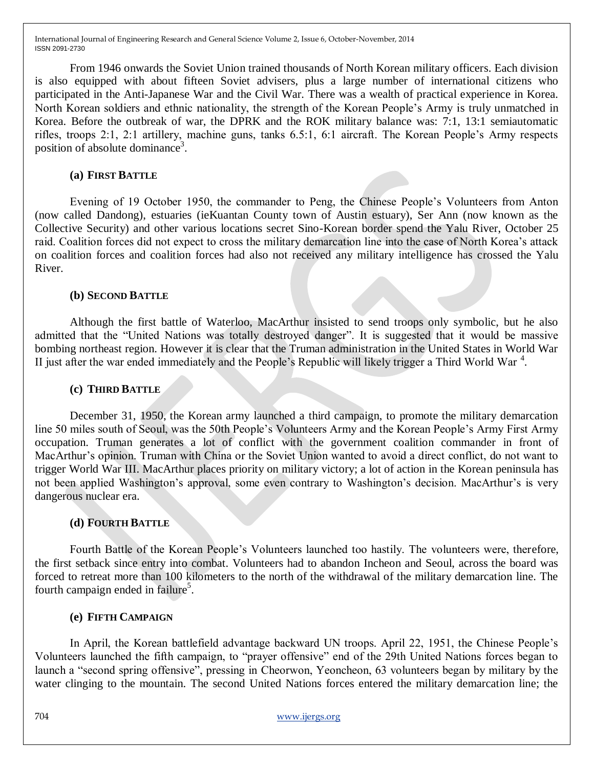From 1946 onwards the Soviet Union trained thousands of North Korean military officers. Each division is also equipped with about fifteen Soviet advisers, plus a large number of international citizens who participated in the Anti-Japanese War and the Civil War. There was a wealth of practical experience in Korea. North Korean soldiers and ethnic nationality, the strength of the Korean People"s Army is truly unmatched in Korea. Before the outbreak of war, the DPRK and the ROK military balance was: 7:1, 13:1 semiautomatic rifles, troops 2:1, 2:1 artillery, machine guns, tanks 6.5:1, 6:1 aircraft. The Korean People"s Army respects position of absolute dominance<sup>3</sup>.

#### **(a) FIRST BATTLE**

Evening of 19 October 1950, the commander to Peng, the Chinese People"s Volunteers from Anton (now called Dandong), estuaries (ieKuantan County town of Austin estuary), Ser Ann (now known as the Collective Security) and other various locations secret Sino-Korean border spend the Yalu River, October 25 raid. Coalition forces did not expect to cross the military demarcation line into the case of North Korea"s attack on coalition forces and coalition forces had also not received any military intelligence has crossed the Yalu River.

## **(b) SECOND BATTLE**

Although the first battle of Waterloo, MacArthur insisted to send troops only symbolic, but he also admitted that the "United Nations was totally destroyed danger". It is suggested that it would be massive bombing northeast region. However it is clear that the Truman administration in the United States in World War II just after the war ended immediately and the People's Republic will likely trigger a Third World War<sup>4</sup>.

#### **(c) THIRD BATTLE**

December 31, 1950, the Korean army launched a third campaign, to promote the military demarcation line 50 miles south of Seoul, was the 50th People"s Volunteers Army and the Korean People"s Army First Army occupation. Truman generates a lot of conflict with the government coalition commander in front of MacArthur's opinion. Truman with China or the Soviet Union wanted to avoid a direct conflict, do not want to trigger World War III. MacArthur places priority on military victory; a lot of action in the Korean peninsula has not been applied Washington's approval, some even contrary to Washington's decision. MacArthur's is very dangerous nuclear era.

# **(d) FOURTH BATTLE**

Fourth Battle of the Korean People"s Volunteers launched too hastily. The volunteers were, therefore, the first setback since entry into combat. Volunteers had to abandon Incheon and Seoul, across the board was forced to retreat more than 100 kilometers to the north of the withdrawal of the military demarcation line. The fourth campaign ended in failure<sup>5</sup>.

#### **(e) FIFTH CAMPAIGN**

In April, the Korean battlefield advantage backward UN troops. April 22, 1951, the Chinese People"s Volunteers launched the fifth campaign, to "prayer offensive" end of the 29th United Nations forces began to launch a "second spring offensive", pressing in Cheorwon, Yeoncheon, 63 volunteers began by military by the water clinging to the mountain. The second United Nations forces entered the military demarcation line; the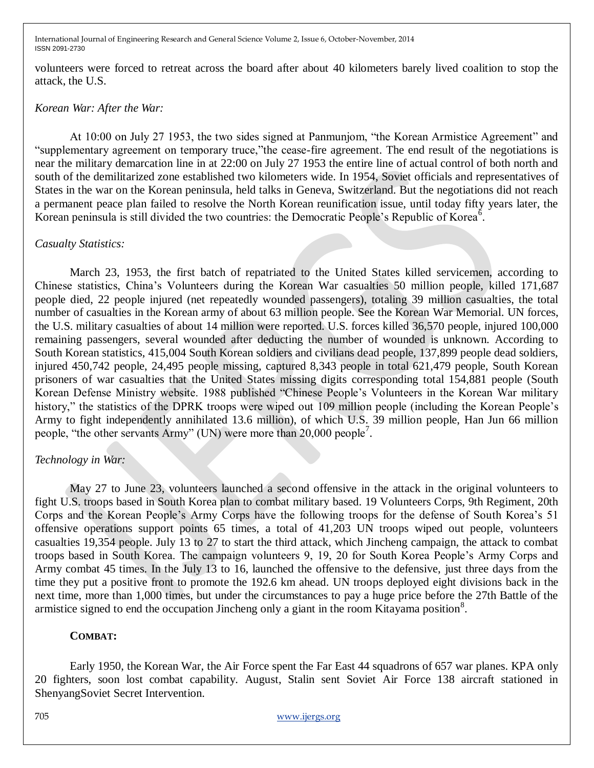volunteers were forced to retreat across the board after about 40 kilometers barely lived coalition to stop the attack, the U.S.

#### *Korean War: After the War:*

At 10:00 on July 27 1953, the two sides signed at Panmunjom, "the Korean Armistice Agreement" and "supplementary agreement on temporary truce,"the cease-fire agreement. The end result of the negotiations is near the military demarcation line in at 22:00 on July 27 1953 the entire line of actual control of both north and south of the demilitarized zone established two kilometers wide. In 1954, Soviet officials and representatives of States in the war on the Korean peninsula, held talks in Geneva, Switzerland. But the negotiations did not reach a permanent peace plan failed to resolve the North Korean reunification issue, until today fifty years later, the Korean peninsula is still divided the two countries: the Democratic People's Republic of Korea<sup>6</sup>.

#### *Casualty Statistics:*

March 23, 1953, the first batch of repatriated to the United States killed servicemen, according to Chinese statistics, China"s Volunteers during the Korean War casualties 50 million people, killed 171,687 people died, 22 people injured (net repeatedly wounded passengers), totaling 39 million casualties, the total number of casualties in the Korean army of about 63 million people. See the Korean War Memorial. UN forces, the U.S. military casualties of about 14 million were reported. U.S. forces killed 36,570 people, injured 100,000 remaining passengers, several wounded after deducting the number of wounded is unknown. According to South Korean statistics, 415,004 South Korean soldiers and civilians dead people, 137,899 people dead soldiers, injured 450,742 people, 24,495 people missing, captured 8,343 people in total 621,479 people, South Korean prisoners of war casualties that the United States missing digits corresponding total 154,881 people (South Korean Defense Ministry website. 1988 published "Chinese People"s Volunteers in the Korean War military history," the statistics of the DPRK troops were wiped out 109 million people (including the Korean People's Army to fight independently annihilated 13.6 million), of which U.S. 39 million people, Han Jun 66 million people, "the other servants Army" (UN) were more than 20,000 people<sup>7</sup>.

#### *Technology in War:*

May 27 to June 23, volunteers launched a second offensive in the attack in the original volunteers to fight U.S. troops based in South Korea plan to combat military based. 19 Volunteers Corps, 9th Regiment, 20th Corps and the Korean People"s Army Corps have the following troops for the defense of South Korea"s 51 offensive operations support points 65 times, a total of 41,203 UN troops wiped out people, volunteers casualties 19,354 people. July 13 to 27 to start the third attack, which Jincheng campaign, the attack to combat troops based in South Korea. The campaign volunteers 9, 19, 20 for South Korea People"s Army Corps and Army combat 45 times. In the July 13 to 16, launched the offensive to the defensive, just three days from the time they put a positive front to promote the 192.6 km ahead. UN troops deployed eight divisions back in the next time, more than 1,000 times, but under the circumstances to pay a huge price before the 27th Battle of the armistice signed to end the occupation Jincheng only a giant in the room Kitayama position $8$ .

#### **COMBAT:**

Early 1950, the Korean War, the Air Force spent the Far East 44 squadrons of 657 war planes. KPA only 20 fighters, soon lost combat capability. August, Stalin sent Soviet Air Force 138 aircraft stationed in ShenyangSoviet Secret Intervention.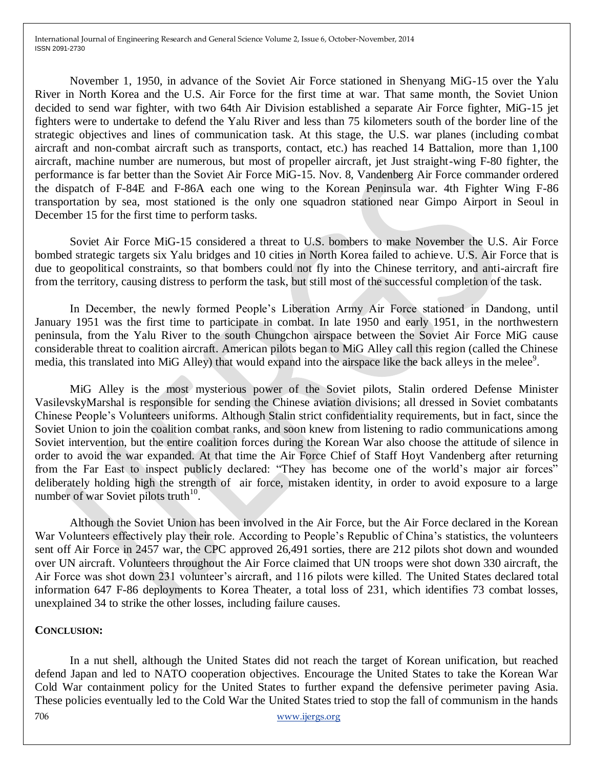November 1, 1950, in advance of the Soviet Air Force stationed in Shenyang MiG-15 over the Yalu River in North Korea and the U.S. Air Force for the first time at war. That same month, the Soviet Union decided to send war fighter, with two 64th Air Division established a separate Air Force fighter, MiG-15 jet fighters were to undertake to defend the Yalu River and less than 75 kilometers south of the border line of the strategic objectives and lines of communication task. At this stage, the U.S. war planes (including combat aircraft and non-combat aircraft such as transports, contact, etc.) has reached 14 Battalion, more than 1,100 aircraft, machine number are numerous, but most of propeller aircraft, jet Just straight-wing F-80 fighter, the performance is far better than the Soviet Air Force MiG-15. Nov. 8, Vandenberg Air Force commander ordered the dispatch of F-84E and F-86A each one wing to the Korean Peninsula war. 4th Fighter Wing F-86 transportation by sea, most stationed is the only one squadron stationed near Gimpo Airport in Seoul in December 15 for the first time to perform tasks.

Soviet Air Force MiG-15 considered a threat to U.S. bombers to make November the U.S. Air Force bombed strategic targets six Yalu bridges and 10 cities in North Korea failed to achieve. U.S. Air Force that is due to geopolitical constraints, so that bombers could not fly into the Chinese territory, and anti-aircraft fire from the territory, causing distress to perform the task, but still most of the successful completion of the task.

In December, the newly formed People"s Liberation Army Air Force stationed in Dandong, until January 1951 was the first time to participate in combat. In late 1950 and early 1951, in the northwestern peninsula, from the Yalu River to the south Chungchon airspace between the Soviet Air Force MiG cause considerable threat to coalition aircraft. American pilots began to MiG Alley call this region (called the Chinese media, this translated into MiG Alley) that would expand into the airspace like the back alleys in the melee<sup>9</sup>.

MiG Alley is the most mysterious power of the Soviet pilots, Stalin ordered Defense Minister VasilevskyMarshal is responsible for sending the Chinese aviation divisions; all dressed in Soviet combatants Chinese People"s Volunteers uniforms. Although Stalin strict confidentiality requirements, but in fact, since the Soviet Union to join the coalition combat ranks, and soon knew from listening to radio communications among Soviet intervention, but the entire coalition forces during the Korean War also choose the attitude of silence in order to avoid the war expanded. At that time the Air Force Chief of Staff Hoyt Vandenberg after returning from the Far East to inspect publicly declared: "They has become one of the world"s major air forces" deliberately holding high the strength of air force, mistaken identity, in order to avoid exposure to a large number of war Soviet pilots truth $10$ .

Although the Soviet Union has been involved in the Air Force, but the Air Force declared in the Korean War Volunteers effectively play their role. According to People's Republic of China's statistics, the volunteers sent off Air Force in 2457 war, the CPC approved 26,491 sorties, there are 212 pilots shot down and wounded over UN aircraft. Volunteers throughout the Air Force claimed that UN troops were shot down 330 aircraft, the Air Force was shot down 231 volunteer's aircraft, and 116 pilots were killed. The United States declared total information 647 F-86 deployments to Korea Theater, a total loss of 231, which identifies 73 combat losses, unexplained 34 to strike the other losses, including failure causes.

#### **CONCLUSION:**

706 www.ijergs.org In a nut shell, although the United States did not reach the target of Korean unification, but reached defend Japan and led to NATO cooperation objectives. Encourage the United States to take the Korean War Cold War containment policy for the United States to further expand the defensive perimeter paving Asia. These policies eventually led to the Cold War the United States tried to stop the fall of communism in the hands